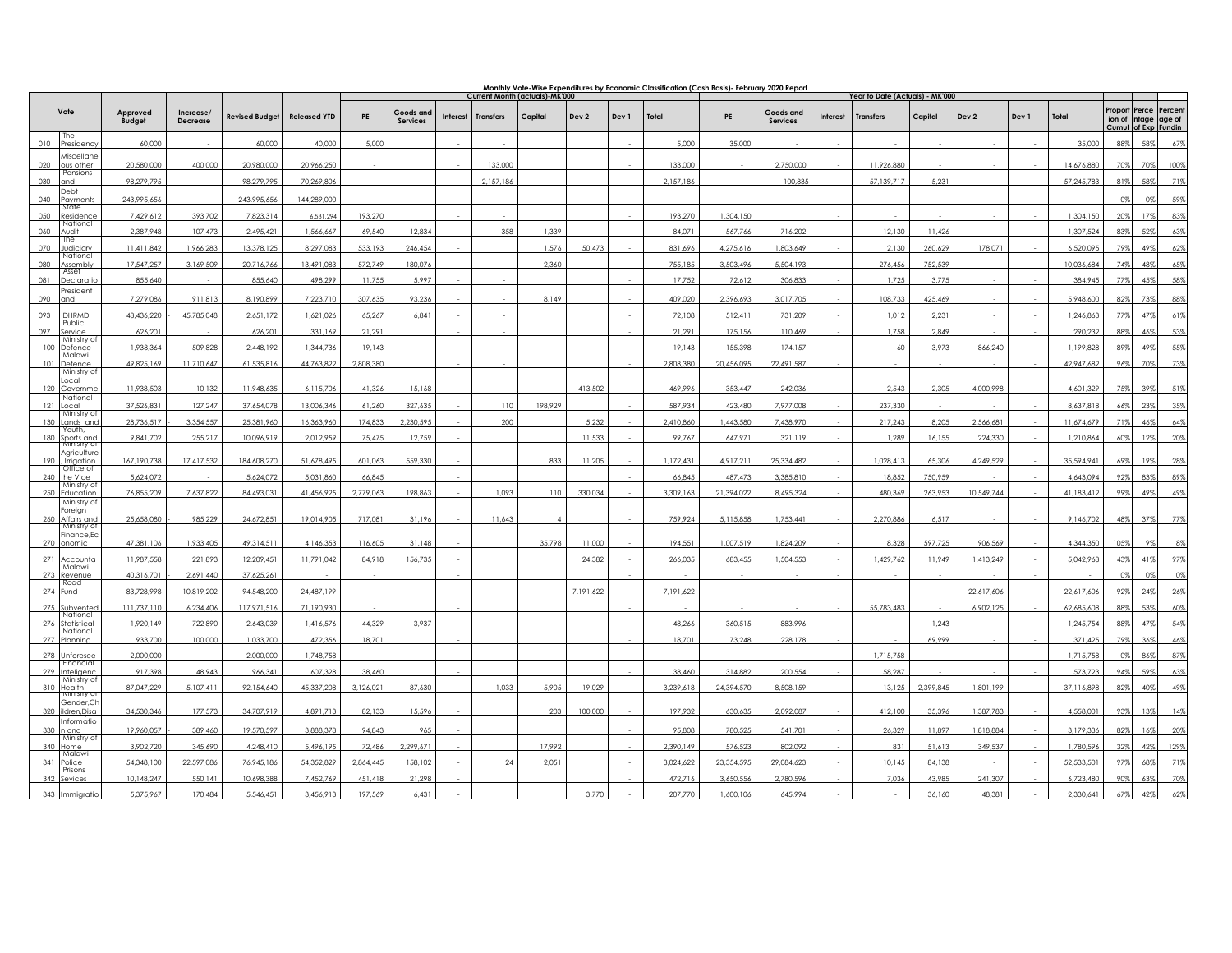|     |                                           |                           |                       |                       |                     | Monthly Vote-Wise Expenditures by Economic Classification (Cash Basis)- February 2020 Report<br>Current Month (actuals)-MK'000<br>Year to Date (Actuals) - MK'000 |                              |                 |                  |         |           |       |           |            |                       |          |                  |           |            |       |            |                                |                                      |      |
|-----|-------------------------------------------|---------------------------|-----------------------|-----------------------|---------------------|-------------------------------------------------------------------------------------------------------------------------------------------------------------------|------------------------------|-----------------|------------------|---------|-----------|-------|-----------|------------|-----------------------|----------|------------------|-----------|------------|-------|------------|--------------------------------|--------------------------------------|------|
|     | Vote                                      | Approved<br><b>Budget</b> | Increase/<br>Decrease | <b>Revised Budget</b> | <b>Released YTD</b> | PE                                                                                                                                                                | Goods and<br><b>Services</b> | <b>Interest</b> | <b>Transfers</b> | Capital | Dev 2     | Dev 1 | Total     | PE         | Goods and<br>Services | Interest | <b>Transfers</b> | Capital   | Dev 2      | Dev 1 | Total      | Proport<br>Cumul of Exp Fundin | Perce Percent<br>ion of ntage age of |      |
| 010 | The<br>'residenc                          | 60,000                    |                       | 60,000                | 40.000              | 5.000                                                                                                                                                             |                              |                 |                  |         |           |       | 5.000     | 35.000     |                       |          |                  |           |            |       | 35.000     | 88%                            | 5,99                                 | 67%  |
| 020 | viscellane<br>ous other                   | 20.580.000                | 400.000               | 20.980.000            | 20.966.250          |                                                                                                                                                                   |                              |                 | 133,000          |         |           |       | 133,000   |            | 2.750.000             |          | 11.926.880       |           |            |       | 14.676.880 | 70%                            | 70%                                  | 100% |
| 030 | Pensions<br>and                           | 98,279,795                |                       | 98,279,795            | 70,269,806          |                                                                                                                                                                   |                              |                 | 2,157,186        |         |           |       | 2.157.186 |            | 100,835               |          | 57,139,717       | 5.231     |            |       | 57,245,783 | 819                            |                                      | 71%  |
| 040 | <b>Debt</b><br>ayments                    | 243,995,656               |                       | 243,995,656           | 144,289,000         |                                                                                                                                                                   |                              |                 |                  |         |           |       |           |            |                       |          |                  |           |            |       |            | 0%                             |                                      | 59%  |
| 050 | State<br>esidence?                        | 7.429.612                 | 393.702               | 7.823.314             | 6.531.294           | 193.270                                                                                                                                                           |                              |                 |                  |         |           |       | 193,270   | 1.304.150  |                       |          |                  |           |            |       | 1.304.150  | 20%                            | 17%                                  | 83%  |
| 060 | National<br>udit                          | 2.387.948                 | 107.473               | 2,495,421             | 1.566.667           | 69,540                                                                                                                                                            | 12,834                       |                 | 358              | 1,339   |           |       | 84,071    | 567,766    | 716.202               |          | 12,130           | 11,426    |            |       | 1.307.52   | 83%                            |                                      | 639  |
| 070 | Ihe<br>udiciary                           | 11,411,842                | 1,966,283             | 13,378,125            | 8,297,083           | 533,193                                                                                                                                                           | 246,454                      |                 |                  | 1,576   | 50,473    |       | 831,696   | 4,275,616  | 1,803,649             |          | 2,130            | 260,629   | 178,071    |       | 6,520,095  | 79%                            | 49%                                  | 62%  |
| 080 | National<br>ssembly<br>Asset              | 17.547.257                | 3.169.509             | 20.716.766            | 13.491.083          | 572.749                                                                                                                                                           | 180.076                      |                 |                  | 2.360   |           |       | 755.185   | 3.503.496  | 5.504.193             |          | 276.456          | 752.539   |            |       | 10.036.684 | 74%                            | 499                                  | 65%  |
| 081 | <b>Declaratic</b>                         | 855.640                   |                       | 855,640               | 498.299             | 11.755                                                                                                                                                            | 5.997                        |                 |                  |         |           |       | 17,752    | 72,612     | 306,833               |          | 1,725            | 3,775     |            |       | 384.945    | 77%                            | 45%                                  | 58%  |
| 090 | 'resident<br>and                          | 7,279,086                 | 911,813               | 8,190,899             | 7,223,710           | 307,635                                                                                                                                                           | 93.236                       |                 |                  | 8.149   |           |       | 409,020   | 2,396,693  | 3,017,705             |          | 108,733          | 425,469   |            |       | 5.948.600  | 82%                            | 73%                                  | 88%  |
| 093 | DHRMD<br>Public                           | 48,436,220                | 45,785,048            | 2,651,172             | 1,621,026           | 65,267                                                                                                                                                            | 6.841                        |                 |                  |         |           |       | 72,108    | 512,411    | 731,209               |          | 1,012            | 2.231     |            |       | 1,246,863  | 779                            | 479                                  | 61%  |
| 097 | iervice<br>Ministry of                    | 626.201                   |                       | 626.201               | 331.169             | 21.291                                                                                                                                                            |                              |                 |                  |         |           |       | 21.291    | 175.156    | 110.469               |          | 1,758            | 2.849     |            |       | 290.232    | 88%                            | 46%                                  | 53%  |
| 100 | efence<br>Malawi                          | 1,938,364                 | 509,828               | 2,448,192             | 1.344.736           | 19,143                                                                                                                                                            |                              |                 |                  |         |           |       | 19,143    | 155.398    | 174.157               |          | 60               | 3.973     | 866,240    |       | 1.199.828  | 89%                            |                                      | 559  |
| 101 | Defence<br>Ministry of                    | 49,825,169                | 11,710,647            | 61,535,816            | 44,763,822          | 2,808,380                                                                                                                                                         |                              |                 |                  |         |           |       | 2,808,380 | 20,456,095 | 22,491,587            |          |                  |           |            |       | 42,947,682 | 96%                            | 70%                                  | 73%  |
|     | ocal<br>120 Governme                      | 11,938,503                | 10,132                | 11,948,635            | 6,115,706           | 41,326                                                                                                                                                            | 15,168                       |                 |                  |         | 413,502   |       | 469,996   | 353,447    | 242,036               |          | 2,543            | 2,305     | 4,000,998  |       | 4,601,329  | 75%                            | 39%                                  | 51%  |
| 121 | National<br>ocal                          | 37,526,831                | 127,247               | 37,654,078            | 13,006,346          | 61,260                                                                                                                                                            | 327.635                      |                 | 110              | 198,929 |           |       | 587,934   | 423.480    | 7,977,008             |          | 237,330          |           |            |       | 8,637,81   |                                |                                      | 35%  |
| 130 | Ministry of<br>ands and                   | 28,736,517                | 3,354,557             | 25,381,960            | 16,363,960          | 174,833                                                                                                                                                           | 2,230,595                    |                 | 200              |         | 5,232     |       | 2,410,860 | 1,443,580  | 7,438,970             |          | 217,243          | 8,205     | 2,566,681  |       | 11,674,679 | 71%                            | 46%                                  | 64%  |
| 180 | Youth.<br>Sports and<br>Ministry of       | 9,841,702                 | 255,217               | 10,096,919            | 2,012,959           | 75,475                                                                                                                                                            | 12,759                       |                 |                  |         | 11,533    |       | 99,767    | 647,971    | 321,119               |          | 1,289            | 16,155    | 224,330    |       | 1,210,86   | 609                            |                                      | 209  |
| 190 | Agriculture<br>Irrigation                 | 167,190,738               | 17,417,532            | 184,608,270           | 51,678,495          | 601,063                                                                                                                                                           | 559,330                      |                 |                  | 833     | 11,205    |       | 1,172,431 | 4,917,211  | 25,334,482            |          | 1,028,413        | 65,306    | 4,249,529  |       | 35,594,941 | 69%                            | 19%                                  | 28%  |
|     | Office of<br>he Vice                      | 5,624,072                 |                       | 5,624,072             | 5,031,860           | 66,845                                                                                                                                                            |                              |                 |                  |         |           |       | 66,845    | 487,473    | 3,385,81              |          | 18,852           | 750,959   |            |       | 4,643,09   | 92%                            | 83%                                  | 89%  |
| 250 | Ministry of<br>Education                  | 76,855,209                | 7,637,822             | 84,493,031            | 41,456,925          | 2,779,063                                                                                                                                                         | 198,863                      |                 | 1,093            | 110     | 330,034   |       | 3,309,163 | 21,394,022 | 8,495,324             |          | 480,369          | 263,953   | 10,549,744 |       | 41,183,412 | 99%                            | 49%                                  | 49%  |
|     | Ministry of<br>oreign                     |                           |                       |                       |                     |                                                                                                                                                                   |                              |                 |                  |         |           |       |           |            |                       |          |                  |           |            |       |            |                                |                                      |      |
|     | 260 Affairs and<br>Ministry of            | 25.658.080                | 985.229               | 24.672.851            | 19.014.905          | 717.081                                                                                                                                                           | 31.196                       |                 | 11.643           |         |           |       | 759,924   | 5.115.858  | 1.753.441             |          | 2.270.886        | 6.517     |            |       | 9.146.702  | 48%                            | 37%                                  | 77%  |
| 270 | inance,Ec<br>onomic                       | 47.381.106                | 1.933.405             | 49.314.511            | 4.146.353           | 116.605                                                                                                                                                           | 31.148                       |                 |                  | 35.798  | 11.000    |       | 194.551   | 1.007.519  | 1.824.209             |          | 8.328            | 597.725   | 906.569    |       | 4.344.350  | 105%                           | 9%                                   | 8%   |
| 271 | <b>\ccounta</b>                           | 11,987,558                | 221,893               | 12,209,451            | 11,791,042          | 84,918                                                                                                                                                            | 156.735                      |                 |                  |         | 24.382    |       | 266,035   | 683.455    | .504.553              |          | 1,429,762        | 11.949    | 1,413,249  |       | 5,042,968  | 43%                            | 419                                  | 97%  |
|     | Malawi<br>273 Revenue                     | 40,316,701                | 2,691,440             | 37,625,261            |                     |                                                                                                                                                                   |                              |                 |                  |         |           |       |           |            |                       |          |                  |           |            |       |            | 0%                             | O%                                   | 0%   |
| 274 | Road<br>Fund                              | 83,728,998                | 10,819,202            | 94,548,200            | 24,487,199          |                                                                                                                                                                   |                              |                 |                  |         | 7.191.622 |       | 7,191,622 |            |                       |          |                  |           | 22,617,606 |       | 22.617.606 | 92%                            | 24%                                  | 26%  |
| 275 | Subvented<br>National                     | 111,737,110               | 6,234,406             | 117,971,516           | 71,190,930          |                                                                                                                                                                   |                              |                 |                  |         |           |       |           |            |                       |          | 55,783,483       |           | 6,902,125  |       | 62,685,608 | 88%                            | 53%                                  | 60%  |
|     | tatistical<br>National                    | 1,920,149                 | 722,890               | 2,643,039             | 1.416.576           | 44,329                                                                                                                                                            | 3.937                        |                 |                  |         |           |       | 48,266    | 360,515    | 883,996               |          |                  | 1.243     |            |       | 1.245.754  | 889                            | 47%                                  | 54%  |
| 277 | 'Iannina                                  | 933.700                   | 100,000               | 1.033.700             | 472.356             | 18.701                                                                                                                                                            |                              |                 |                  |         |           |       | 18.701    | 73.248     | 228.178               |          |                  | 69.999    |            |       | 371.425    | 79%                            | 36%                                  | 46%  |
|     | nforese<br>Financial                      | 2,000,000                 |                       | 2,000,000             | 1.748.758           |                                                                                                                                                                   |                              |                 |                  |         |           |       |           |            |                       |          | 1.715.758        |           |            |       | 1.715.758  | Ωg                             | 86%                                  | 87%  |
| 279 | nteligenc<br>Ministry of                  | 917,398                   | 48,943                | 966,341               | 607,328             | 38,460                                                                                                                                                            |                              |                 |                  |         |           |       | 38,460    | 314,882    | 200,554               |          | 58,287           |           |            |       | 573,723    | 94%                            | 599                                  | 63%  |
| 310 | <b>lealth</b><br>Ministry of<br>Gender,Ch | 87.047.229                | 5.107.411             | 92.154.640            | 45.337.208          | 3.126.021                                                                                                                                                         | 87.630                       |                 | 1.033            | 5.905   | 19.029    |       | 3.239.618 | 24.394.570 | 3.508.159             |          | 13.125           | 2.399.845 | 1.801.199  |       | 37.116.898 | 82%                            | 40%                                  | 49%  |
| 320 | Idren, Disa                               | 34,530,346                | 177.573               | 34,707,919            | 4,891,713           | 82,133                                                                                                                                                            | 15,596                       |                 |                  | 203     | 100,000   |       | 197,932   | 630.635    | 2,092,087             |          | 412,100          | 35,396    | 1,387,783  |       | 4.558.001  | 93%                            | 13%                                  | 14%  |
|     | nformatio<br>and<br>Ministry of           | 19,960,057                | 389,460               | 19,570,597            | 3,888,378           | 94,843                                                                                                                                                            | 965                          |                 |                  |         |           |       | 95,808    | 780,525    | 541,701               |          | 26,329           | 11,897    | 1,818,884  |       | 3,179,336  | 829                            |                                      | 20%  |
| 340 | lome<br>Malawi                            | 3,902,720                 | 345,690               | 4,248,410             | 5,496,195           | 72,486                                                                                                                                                            | 2,299,671                    |                 |                  | 17,992  |           |       | 2,390,149 | 576,523    | 802,092               |          | 831              | 51,613    | 349,537    |       | 1,780,596  | 32%                            | 42%                                  | 129% |
| 34  | olice<br>Prisons                          | 54,348,100                | 22.597.086            | 76,945,186            | 54,352,829          | 2.864.445                                                                                                                                                         | 158.102                      |                 | 24               | 2,051   |           |       | 3,024,622 | 23.354.595 | 29.084.623            |          | 10,145           | 84.138    |            |       | 52.533.50  | 979                            |                                      | 719  |
|     | 342 Sevices                               | 10,148,247                | 550,141               | 10,698,388            | 7,452,769           | 451,418                                                                                                                                                           | 21,298                       |                 |                  |         |           |       | 472,716   | 3,650,556  | 2,780,596             |          | 7,036            | 43,985    | 241,307    |       | 6,723,480  | 90%                            |                                      | 70%  |
| 343 |                                           | 5375967                   | 170.484               | 5.546.451             | 3 454 913           | 197 549                                                                                                                                                           | 6431                         |                 |                  |         | 277       |       | 207 770   | 601.064    | 645 994               |          |                  | 36.160    | 48.381     |       | 2.330 AA'  |                                |                                      |      |